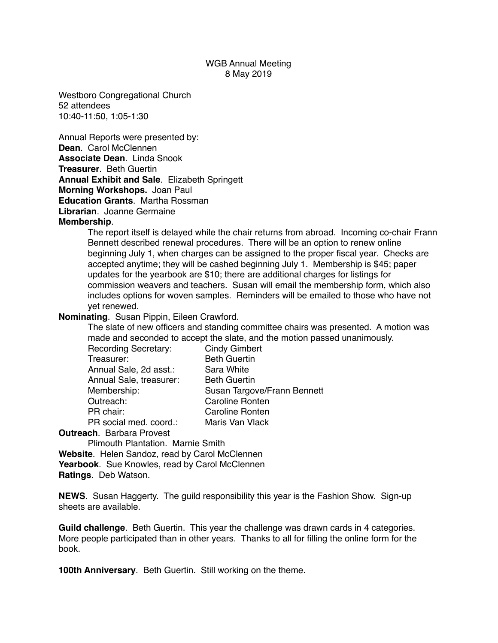## WGB Annual Meeting 8 May 2019

Westboro Congregational Church 52 attendees 10:40-11:50, 1:05-1:30

Annual Reports were presented by: **Dean**. Carol McClennen **Associate Dean**. Linda Snook **Treasurer**. Beth Guertin **Annual Exhibit and Sale**. Elizabeth Springett **Morning Workshops.** Joan Paul **Education Grants**. Martha Rossman **Librarian**. Joanne Germaine

## **Membership**.

The report itself is delayed while the chair returns from abroad. Incoming co-chair Frann Bennett described renewal procedures. There will be an option to renew online beginning July 1, when charges can be assigned to the proper fiscal year. Checks are accepted anytime; they will be cashed beginning July 1. Membership is \$45; paper updates for the yearbook are \$10; there are additional charges for listings for commission weavers and teachers. Susan will email the membership form, which also includes options for woven samples. Reminders will be emailed to those who have not yet renewed.

## **Nominating**. Susan Pippin, Eileen Crawford.

The slate of new officers and standing committee chairs was presented. A motion was made and seconded to accept the slate, and the motion passed unanimously.

| <b>Recording Secretary:</b> | <b>Cindy Gimbert</b>        |
|-----------------------------|-----------------------------|
| Treasurer:                  | <b>Beth Guertin</b>         |
| Annual Sale, 2d asst.:      | Sara White                  |
| Annual Sale, treasurer:     | <b>Beth Guertin</b>         |
| Membership:                 | Susan Targove/Frann Bennett |
| Outreach:                   | <b>Caroline Ronten</b>      |
| PR chair:                   | <b>Caroline Ronten</b>      |
| PR social med. coord.:      | Maris Van Vlack             |
|                             |                             |

## **Outreach**. Barbara Provest

Plimouth Plantation. Marnie Smith

**Website**. Helen Sandoz, read by Carol McClennen Yearbook. Sue Knowles, read by Carol McClennen **Ratings**. Deb Watson.

**NEWS**. Susan Haggerty. The guild responsibility this year is the Fashion Show. Sign-up sheets are available.

**Guild challenge**. Beth Guertin. This year the challenge was drawn cards in 4 categories. More people participated than in other years. Thanks to all for filling the online form for the book.

**100th Anniversary**. Beth Guertin. Still working on the theme.